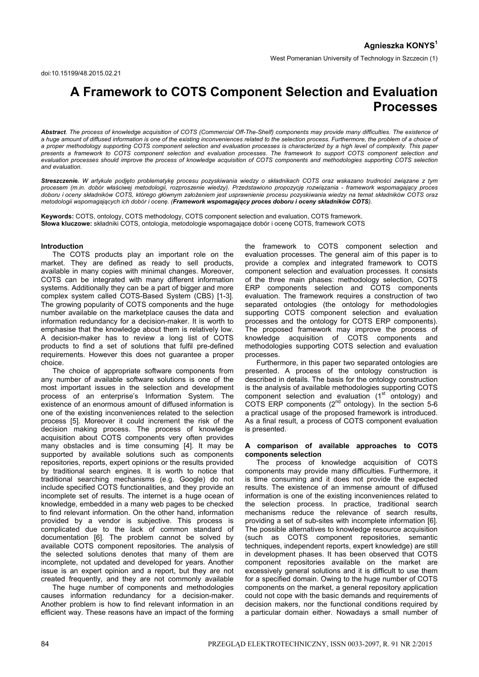# **A Framework to COTS Component Selection and Evaluation Processes**

*Abstract. The process of knowledge acquisition of COTS (Commercial Off-The-Shelf) components may provide many difficulties. The existence of*  a huge amount of diffused information is one of the existing inconveniences related to the selection process. Furthermore, the problem of a choice of *a proper methodology supporting COTS component selection and evaluation processes is characterized by a high level of complexity. This paper presents a framework to COTS component selection and evaluation processes. The framework to support COTS component selection and evaluation processes should improve the process of knowledge acquisition of COTS components and methodologies supporting COTS selection and evaluation.* 

*Streszczenie. W artykule podjęto problematykę procesu pozyskiwania wiedzy o składnikach COTS oraz wskazano trudności związane z tym procesem (m.in. dobór właściwej metodologii, rozproszenie wiedzy). Przedstawiono propozycję rozwiązania - framework wspomagający proces doboru i oceny składników COTS, którego głównym założeniem jest usprawnienie procesu pozyskiwania wiedzy na temat składników COTS oraz metodologii wspomagających ich dobór i ocenę. (Framework wspomagający proces doboru i oceny składników COTS).* 

**Keywords:** COTS, ontology, COTS methodology, COTS component selection and evaluation, COTS framework. **Słowa kluczowe:** składniki COTS, ontologia, metodologie wspomagające dobór i ocenę COTS, framework COTS

#### **Introduction**

 The COTS products play an important role on the market. They are defined as ready to sell products, available in many copies with minimal changes. Moreover, COTS can be integrated with many different information systems. Additionally they can be a part of bigger and more complex system called COTS-Based System (CBS) [1-3]. The growing popularity of COTS components and the huge number available on the marketplace causes the data and information redundancy for a decision-maker. It is worth to emphasise that the knowledge about them is relatively low. A decision-maker has to review a long list of COTS products to find a set of solutions that fulfil pre-defined requirements. However this does not guarantee a proper choice.

 The choice of appropriate software components from any number of available software solutions is one of the most important issues in the selection and development process of an enterprise's Information System. The existence of an enormous amount of diffused information is one of the existing inconveniences related to the selection process [5]. Moreover it could increment the risk of the decision making process. The process of knowledge acquisition about COTS components very often provides many obstacles and is time consuming [4]. It may be supported by available solutions such as components repositories, reports, expert opinions or the results provided by traditional search engines. It is worth to notice that traditional searching mechanisms (e.g. Google) do not include specified COTS functionalities, and they provide an incomplete set of results. The internet is a huge ocean of knowledge, embedded in a many web pages to be checked to find relevant information. On the other hand, information provided by a vendor is subjective. This process is complicated due to the lack of common standard of documentation [6]. The problem cannot be solved by available COTS component repositories. The analysis of the selected solutions denotes that many of them are incomplete, not updated and developed for years. Another issue is an expert opinion and a report, but they are not created frequently, and they are not commonly available

 The huge number of components and methodologies causes information redundancy for a decision-maker. Another problem is how to find relevant information in an efficient way. These reasons have an impact of the forming

the framework to COTS component selection and evaluation processes. The general aim of this paper is to provide a complex and integrated framework to COTS component selection and evaluation processes. It consists of the three main phases: methodology selection, COTS ERP components selection and COTS components evaluation. The framework requires a construction of two separated ontologies (the ontology for methodologies supporting COTS component selection and evaluation processes and the ontology for COTS ERP components). The proposed framework may improve the process of knowledge acquisition of COTS components and methodologies supporting COTS selection and evaluation processes.

 Furthermore, in this paper two separated ontologies are presented. A process of the ontology construction is described in details. The basis for the ontology construction is the analysis of available methodologies supporting COTS component selection and evaluation  $(1<sup>st</sup>$  ontology) and COTS ERP components  $(2^{nd}$  ontology). In the section 5-6 a practical usage of the proposed framework is introduced. As a final result, a process of COTS component evaluation is presented.

#### **A comparison of available approaches to COTS components selection**

 The process of knowledge acquisition of COTS components may provide many difficulties. Furthermore, it is time consuming and it does not provide the expected results. The existence of an immense amount of diffused information is one of the existing inconveniences related to the selection process. In practice, traditional search mechanisms reduce the relevance of search results, providing a set of sub-sites with incomplete information [6]. The possible alternatives to knowledge resource acquisition (such as COTS component repositories, semantic techniques, independent reports, expert knowledge) are still in development phases. It has been observed that COTS component repositories available on the market are excessively general solutions and it is difficult to use them for a specified domain. Owing to the huge number of COTS components on the market, a general repository application could not cope with the basic demands and requirements of decision makers, nor the functional conditions required by a particular domain either. Nowadays a small number of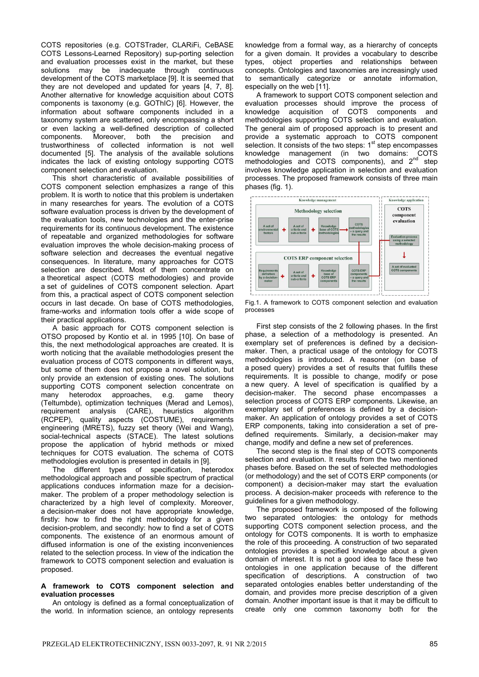COTS repositories (e.g. COTSTrader, CLARiFi, CeBASE COTS Lessons-Learned Repository) sup-porting selection and evaluation processes exist in the market, but these solutions may be inadequate through continuous development of the COTS marketplace [9]. It is seemed that they are not developed and updated for years [4, 7, 8]. Another alternative for knowledge acquisition about COTS components is taxonomy (e.g. GOThIC) [6]. However, the information about software components included in a taxonomy system are scattered, only encompassing a short or even lacking a well-defined description of collected components. Moreover, both the precision and trustworthiness of collected information is not well documented [5]. The analysis of the available solutions indicates the lack of existing ontology supporting COTS component selection and evaluation.

 This short characteristic of available possibilities of COTS component selection emphasizes a range of this problem. It is worth to notice that this problem is undertaken in many researches for years. The evolution of a COTS software evaluation process is driven by the development of the evaluation tools, new technologies and the enter-prise requirements for its continuous development. The existence of repeatable and organized methodologies for software evaluation improves the whole decision-making process of software selection and decreases the eventual negative consequences. In literature, many approaches for COTS selection are described. Most of them concentrate on a theoretical aspect (COTS methodologies) and provide a set of guidelines of COTS component selection. Apart from this, a practical aspect of COTS component selection occurs in last decade. On base of COTS methodologies, frame-works and information tools offer a wide scope of their practical applications.

 A basic approach for COTS component selection is OTSO proposed by Kontio et al. in 1995 [10]. On base of this, the next methodological approaches are created. It is worth noticing that the available methodologies present the evaluation process of COTS components in different ways, but some of them does not propose a novel solution, but only provide an extension of existing ones. The solutions supporting COTS component selection concentrate on many heterodox approaches, e.g. game theory (Teltumbde), optimization techniques (Merad and Lemos), requirement analysis (CARE), heuristics algorithm (RCPEP), quality aspects (COSTUME), requirements engineering (MRETS), fuzzy set theory (Wei and Wang), social-technical aspects (STACE). The latest solutions propose the application of hybrid methods or mixed techniques for COTS evaluation. The schema of COTS methodologies evolution is presented in details in [9].

 The different types of specification, heterodox methodological approach and possible spectrum of practical applications conduces information maze for a decisionmaker. The problem of a proper methodology selection is characterized by a high level of complexity. Moreover, a decision-maker does not have appropriate knowledge, firstly: how to find the right methodology for a given decision-problem, and secondly: how to find a set of COTS components. The existence of an enormous amount of diffused information is one of the existing inconveniences related to the selection process. In view of the indication the framework to COTS component selection and evaluation is proposed.

# **A framework to COTS component selection and evaluation processes**

 An ontology is defined as a formal conceptualization of the world. In information science, an ontology represents

knowledge from a formal way, as a hierarchy of concepts for a given domain. It provides a vocabulary to describe types, object properties and relationships between concepts. Ontologies and taxonomies are increasingly used to semantically categorize or annotate information, especially on the web [11].

 A framework to support COTS component selection and evaluation processes should improve the process of knowledge acquisition of COTS components and methodologies supporting COTS selection and evaluation. The general aim of proposed approach is to present and provide a systematic approach to COTS component selection. It consists of the two steps: 1<sup>st</sup> step encompasses knowledge management (in two domains: COTS methodologies and COTS components), and  $2<sup>nd</sup>$  step involves knowledge application in selection and evaluation processes. The proposed framework consists of three main phases (fig. 1).



Fig.1. A framework to COTS component selection and evaluation processes

 First step consists of the 2 following phases. In the first phase, a selection of a methodology is presented. An exemplary set of preferences is defined by a decisionmaker. Then, a practical usage of the ontology for COTS methodologies is introduced. A reasoner (on base of a posed query) provides a set of results that fulfills these requirements. It is possible to change, modify or pose a new query. A level of specification is qualified by a decision-maker. The second phase encompasses a selection process of COTS ERP components. Likewise, an exemplary set of preferences is defined by a decisionmaker. An application of ontology provides a set of COTS ERP components, taking into consideration a set of predefined requirements. Similarly, a decision-maker may change, modify and define a new set of preferences.

 The second step is the final step of COTS components selection and evaluation. It results from the two mentioned phases before. Based on the set of selected methodologies (or methodology) and the set of COTS ERP components (or component) a decision-maker may start the evaluation process. A decision-maker proceeds with reference to the guidelines for a given methodology.

 The proposed framework is composed of the following two separated ontologies: the ontology for methods supporting COTS component selection process, and the ontology for COTS components. It is worth to emphasize the role of this proceeding. A construction of two separated ontologies provides a specified knowledge about a given domain of interest. It is not a good idea to face these two ontologies in one application because of the different specification of descriptions. A construction of two separated ontologies enables better understanding of the domain, and provides more precise description of a given domain. Another important issue is that it may be difficult to create only one common taxonomy both for the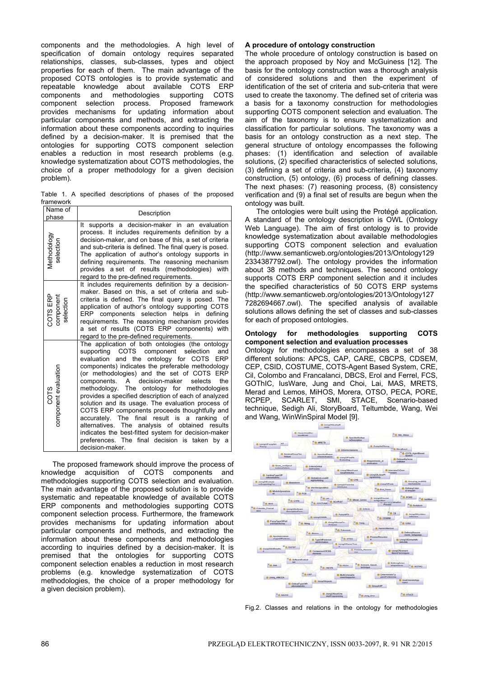components and the methodologies. A high level of specification of domain ontology requires separated relationships, classes, sub-classes, types and object properties for each of them. The main advantage of the proposed COTS ontologies is to provide systematic and repeatable knowledge about available COTS ERP components and methodologies supporting COTS component selection process. Proposed framework provides mechanisms for updating information about particular components and methods, and extracting the information about these components according to inquiries defined by a decision-maker. It is premised that the ontologies for supporting COTS component selection enables a reduction in most research problems (e.g. knowledge systematization about COTS methodologies, the choice of a proper methodology for a given decision problem).

Table 1. A specified descriptions of phases of the proposed framework

| Name of                            | Description                                                                                                                                                                                                                                                                                                                                                                                                                                                                                                                                                                                                                                                                                                                                                    |  |  |
|------------------------------------|----------------------------------------------------------------------------------------------------------------------------------------------------------------------------------------------------------------------------------------------------------------------------------------------------------------------------------------------------------------------------------------------------------------------------------------------------------------------------------------------------------------------------------------------------------------------------------------------------------------------------------------------------------------------------------------------------------------------------------------------------------------|--|--|
| phase                              |                                                                                                                                                                                                                                                                                                                                                                                                                                                                                                                                                                                                                                                                                                                                                                |  |  |
| Methodology<br>selection           | supports a decision-maker in an evaluation<br>It<br>process. It includes requirements definition by a<br>decision-maker, and on base of this, a set of criteria<br>and sub-criteria is defined. The final query is posed.<br>The application of author's ontology supports in<br>defining requirements. The reasoning mechanism<br>provides a set of results (methodologies) with<br>regard to the pre-defined requirements.                                                                                                                                                                                                                                                                                                                                   |  |  |
| COTS ERP<br>component<br>selection | It includes requirements definition by a decision-<br>maker. Based on this, a set of criteria and sub-<br>criteria is defined. The final query is posed. The<br>application of author's ontology supporting COTS<br>components selection helps in defining<br>ERP<br>requirements. The reasoning mechanism provides<br>a set of results (COTS ERP components) with<br>regard to the pre-defined requirements.                                                                                                                                                                                                                                                                                                                                                  |  |  |
| COTS<br>component evaluation       | The application of both ontologies (the ontology<br>COTS component selection<br>supporting<br>and<br>evaluation and the ontology for COTS<br><b>ERP</b><br>components) indicates the preferable methodology<br>(or methodologies) and the set of COTS ERP<br>components.<br>A decision-maker<br>selects<br>the<br>methodology. The ontology for methodologies<br>provides a specified description of each of analyzed<br>solution and its usage. The evaluation process of<br>COTS ERP components proceeds thoughtfully and<br>result is a<br>accurately. The final<br>ranking of<br>alternatives. The analysis of obtained results<br>indicates the best-fitted system for decision-maker<br>preferences. The final decision is taken by a<br>decision-maker. |  |  |

 The proposed framework should improve the process of knowledge acquisition of COTS components and methodologies supporting COTS selection and evaluation. The main advantage of the proposed solution is to provide systematic and repeatable knowledge of available COTS ERP components and methodologies supporting COTS component selection process. Furthermore, the framework provides mechanisms for updating information about particular components and methods, and extracting the information about these components and methodologies according to inquiries defined by a decision-maker. It is premised that the ontologies for supporting COTS component selection enables a reduction in most research problems (e.g. knowledge systematization of COTS methodologies, the choice of a proper methodology for a given decision problem).

# **A procedure of ontology construction**

The whole procedure of ontology construction is based on the approach proposed by Noy and McGuiness [12]. The basis for the ontology construction was a thorough analysis of considered solutions and then the experiment of identification of the set of criteria and sub-criteria that were used to create the taxonomy. The defined set of criteria was a basis for a taxonomy construction for methodologies supporting COTS component selection and evaluation. The aim of the taxonomy is to ensure systematization and classification for particular solutions. The taxonomy was a basis for an ontology construction as a next step. The general structure of ontology encompasses the following phases: (1) identification and selection of available solutions, (2) specified characteristics of selected solutions, (3) defining a set of criteria and sub-criteria, (4) taxonomy construction, (5) ontology, (6) process of defining classes. The next phases: (7) reasoning process, (8) consistency verification and (9) a final set of results are begun when the ontology was built.

 The ontologies were built using the Protégé application. A standard of the ontology description is OWL (Ontology Web Language). The aim of first ontology is to provide knowledge systematization about available methodologies supporting COTS component selection and evaluation (http://www.semanticweb.org/ontologies/2013/Ontology129 2334387792.owl). The ontology provides the information about 38 methods and techniques. The second ontology supports COTS ERP component selection and it includes the specified characteristics of 50 COTS ERP systems (http://www.semanticweb.org/ontologies/2013/Ontology127 7282694667.owl). The specified analysis of available solutions allows defining the set of classes and sub-classes for each of proposed ontologies.

#### **Ontology for methodologies supporting COTS component selection and evaluation processes**

Ontology for methodologies encompasses a set of 38 different solutions: APCS, CAP, CARE, CBCPS, CDSEM, CEP, CSID, COSTUME, COTS-Agent Based System, CRE, Cil, Colombo and Francalanci, DBCS, Erol and Ferrel, FCS, GOThIC, IusWare, Jung and Choi, Lai, MAS, MRETS, Merad and Lemos, MiHOS, Morera, OTSO, PECA, PORE, RCPEP, SCARLET, SMI, STACE, Scenario-based technique, Sedigh Ali, StoryBoard, Teltumbde, Wang, Wei and Wang, WinWinSpiral Model [9].



Fig.2. Classes and relations in the ontology for methodologies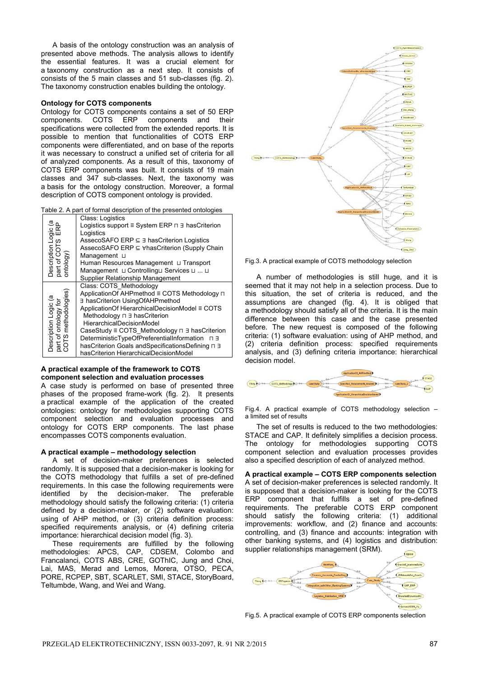A basis of the ontology construction was an analysis of presented above methods. The analysis allows to identify the essential features. It was a crucial element for a taxonomy construction as a next step. It consists of consists of the 5 main classes and 51 sub-classes (fig. 2). The taxonomy construction enables building the ontology.

#### **Ontology for COTS components**

Ontology for COTS components contains a set of 50 ERP components. COTS ERP components and their specifications were collected from the extended reports. It is possible to mention that functionalities of COTS ERP components were differentiated, and on base of the reports it was necessary to construct a unified set of criteria for all of analyzed components. As a result of this, taxonomy of COTS ERP components was built. It consists of 19 main classes and 347 sub-classes. Next, the taxonomy was a basis for the ontology construction. Moreover, a formal description of COTS component ontology is provided.

| Table 2. A part of formal description of the presented ontologies |  |  |
|-------------------------------------------------------------------|--|--|
|                                                                   |  |  |

|                                                                                                     | Class: Logistics                                                       |  |  |  |
|-----------------------------------------------------------------------------------------------------|------------------------------------------------------------------------|--|--|--|
|                                                                                                     | Logistics support $\equiv$ System ERP $\sqcap$ $\exists$ has Criterion |  |  |  |
|                                                                                                     | Logistics                                                              |  |  |  |
|                                                                                                     | AssecoSAFO ERP $\subseteq$ 3 has Criterion Logistics                   |  |  |  |
|                                                                                                     | AssecoSAFO ERP ⊆ ∀hasCriterion (Supply Chain                           |  |  |  |
|                                                                                                     | Management L                                                           |  |  |  |
| Description Logic (a<br>part of COTS ERP<br>ontology)                                               | Human Resources Management L Transport                                 |  |  |  |
|                                                                                                     | Management u Controllingu Services u  u                                |  |  |  |
|                                                                                                     | Supplier Relationship Management                                       |  |  |  |
|                                                                                                     | Class: COTS Methodology                                                |  |  |  |
|                                                                                                     | ApplicationOf AHPmethod ≡ COTS Methodology ⊓                           |  |  |  |
|                                                                                                     | ∃ hasCriterion UsingOfAHPmethod                                        |  |  |  |
|                                                                                                     | ApplicationOf HierarchicalDecisionModel ≡ COTS                         |  |  |  |
|                                                                                                     | Methodology $\sqcap \exists$ has Criterion                             |  |  |  |
|                                                                                                     | HierarchicalDecisionModel                                              |  |  |  |
| Description Logic (a<br>part of ontology for<br>COTS methodologies)<br>part of<br>COTS <sub>r</sub> | CaseStudy ≡ COTS_Methodology n ∃ hasCriterion                          |  |  |  |
|                                                                                                     | DeterministicTypeOfPreferentialInformation ⊓ ∃                         |  |  |  |
|                                                                                                     | hasCriterion Goals andSpecificationsDefining n 3                       |  |  |  |
|                                                                                                     | hasCriterion HierarchicalDecisionModel                                 |  |  |  |

# **A practical example of the framework to COTS component selection and evaluation processes**

A case study is performed on base of presented three phases of the proposed frame-work (fig. 2). It presents a practical example of the application of the created ontologies: ontology for methodologies supporting COTS component selection and evaluation processes and ontology for COTS ERP components. The last phase encompasses COTS components evaluation.

# **A practical example – methodology selection**

A set of decision-maker preferences is selected randomly. It is supposed that a decision-maker is looking for the COTS methodology that fulfills a set of pre-defined requirements. In this case the following requirements were identified by the decision-maker. The preferable methodology should satisfy the following criteria: (1) criteria defined by a decision-maker, or (2) software evaluation: using of AHP method, or (3) criteria definition process: specified requirements analysis, or (4) defining criteria importance: hierarchical decision model (fig. 3).

These requirements are fulfilled by the following methodologies: APCS, CAP, CDSEM, Colombo and Francalanci, COTS ABS, CRE, GOThIC, Jung and Choi, Lai, MAS, Merad and Lemos, Morera, OTSO, PECA, PORE, RCPEP, SBT, SCARLET, SMI, STACE, StoryBoard, Teltumbde, Wang, and Wei and Wang.



Fig.3. A practical example of COTS methodology selection

A number of methodologies is still huge, and it is seemed that it may not help in a selection process. Due to this situation, the set of criteria is reduced, and the assumptions are changed (fig. 4). It is obliged that a methodology should satisfy all of the criteria. It is the main difference between this case and the case presented before. The new request is composed of the following criteria: (1) software evaluation: using of AHP method, and (2) criteria definition process: specified requirements analysis, and (3) defining criteria importance: hierarchical decision model.



Fig.4. A practical example of COTS methodology selection – a limited set of results

 The set of results is reduced to the two methodologies: STACE and CAP. It definitely simplifies a decision process. The ontology for methodologies supporting COTS component selection and evaluation processes provides also a specified description of each of analyzed method.

#### **A practical example – COTS ERP components selection**

A set of decision-maker preferences is selected randomly. It is supposed that a decision-maker is looking for the COTS ERP component that fulfills a set of pre-defined requirements. The preferable COTS ERP component should satisfy the following criteria: (1) additional improvements: workflow, and (2) finance and accounts: controlling, and (3) finance and accounts: integration with other banking systems, and (4) logistics and distribution: supplier relationships management (SRM).



Fig.5. A practical example of COTS ERP components selection